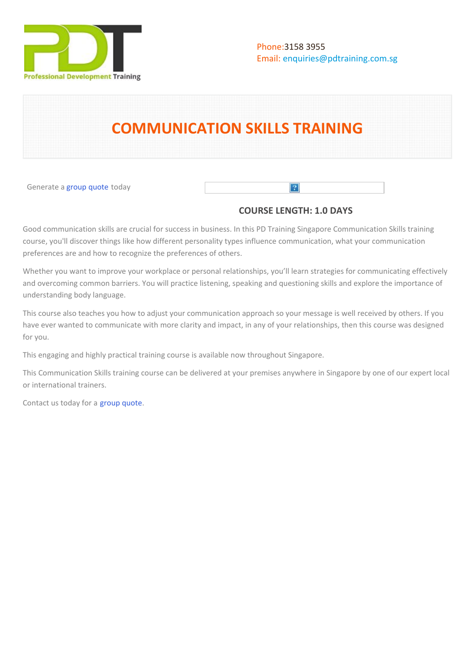

# **COMMUNICATION SKILLS TRAINING**

Generate a [group quote](https://pdtraining.com.sg/bookings/inhouseex1/quoterequestex1a.aspx?cse=PDT0008) today

# **COURSE LENGTH: 1.0 DAYS**

 $\vert$ ?

Good communication skills are crucial for success in business. In this PD Training Singapore Communication Skills training course, you'll discover things like how different personality types influence communication, what your communication preferences are and how to recognize the preferences of others.

Whether you want to improve your workplace or personal relationships, you'll learn strategies for communicating effectively and overcoming common barriers. You will practice listening, speaking and questioning skills and explore the importance of understanding body language.

This course also teaches you how to adjust your communication approach so your message is well received by others. If you have ever wanted to communicate with more clarity and impact, in any of your relationships, then this course was designed for you.

This engaging and highly practical training course is available now throughout Singapore.

This Communication Skills training course can be delivered at your premises anywhere in Singapore by one of our expert local or international trainers.

Contact us today for a [group quote.](https://pdtraining.com.sg/bookings/inhouseex1/quoterequestex1a.aspx)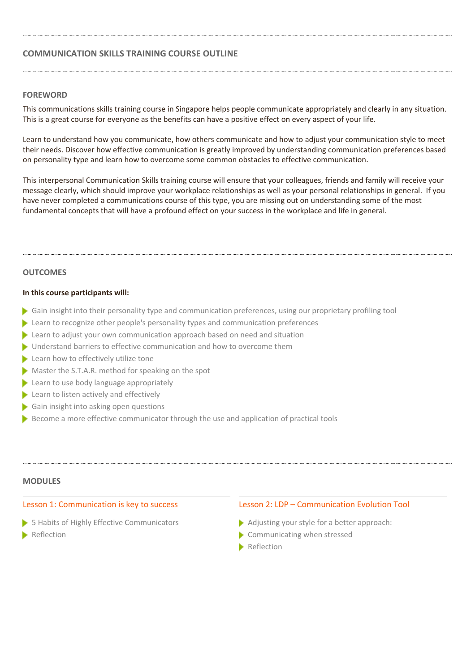# **COMMUNICATION SKILLS TRAINING COURSE OUTLINE**

#### **FOREWORD**

This communications skills training course in Singapore helps people communicate appropriately and clearly in any situation. This is a great course for everyone as the benefits can have a positive effect on every aspect of your life.

Learn to understand how you communicate, how others communicate and how to adjust your communication style to meet their needs. Discover how effective communication is greatly improved by understanding communication preferences based on personality type and learn how to overcome some common obstacles to effective communication.

This interpersonal Communication Skills training course will ensure that your colleagues, friends and family will receive your message clearly, which should improve your workplace relationships as well as your personal relationships in general. If you have never completed a communications course of this type, you are missing out on understanding some of the most fundamental concepts that will have a profound effect on your success in the workplace and life in general.

#### **OUTCOMES**

#### **In this course participants will:**

- Gain insight into their personality type and communication preferences, using our proprietary profiling tool
- Learn to recognize other people's personality types and communication preferences
- **Learn to adjust your own communication approach based on need and situation**
- **I** Understand barriers to effective communication and how to overcome them
- Learn how to effectively utilize tone
- Master the S.T.A.R. method for speaking on the spot
- **Learn to use body language appropriately**
- **Learn to listen actively and effectively**
- Gain insight into asking open questions
- Become a more effective communicator through the use and application of practical tools

#### **MODULES**

## Lesson 1: Communication is key to success

- **5 Habits of Highly Effective Communicators**
- **Reflection**

## Lesson 2: LDP – Communication Evolution Tool

- Adjusting your style for a better approach:
- Communicating when stressed
- **Reflection**